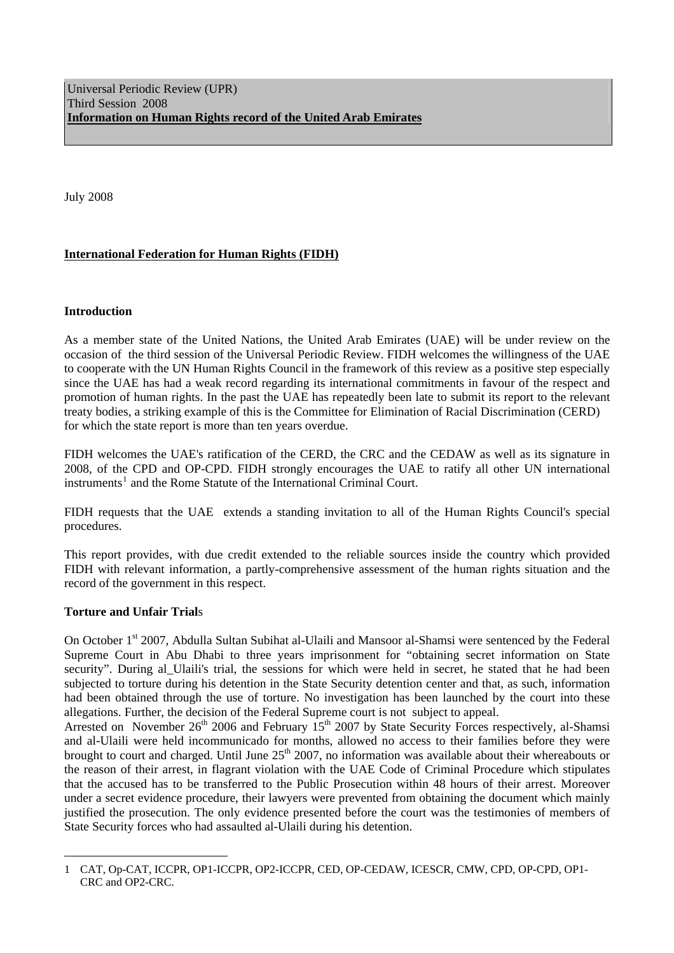July 2008

# **International Federation for Human Rights (FIDH)**

# **Introduction**

As a member state of the United Nations, the United Arab Emirates (UAE) will be under review on the occasion of the third session of the Universal Periodic Review. FIDH welcomes the willingness of the UAE to cooperate with the UN Human Rights Council in the framework of this review as a positive step especially since the UAE has had a weak record regarding its international commitments in favour of the respect and promotion of human rights. In the past the UAE has repeatedly been late to submit its report to the relevant treaty bodies, a striking example of this is the Committee for Elimination of Racial Discrimination (CERD) for which the state report is more than ten years overdue.

FIDH welcomes the UAE's ratification of the CERD, the CRC and the CEDAW as well as its signature in 2008, of the CPD and OP-CPD. FIDH strongly encourages the UAE to ratify all other UN international instruments<sup>[1](#page-0-0)</sup> and the Rome Statute of the International Criminal Court.

FIDH requests that the UAE extends a standing invitation to all of the Human Rights Council's special procedures.

This report provides, with due credit extended to the reliable sources inside the country which provided FIDH with relevant information, a partly-comprehensive assessment of the human rights situation and the record of the government in this respect.

# **Torture and Unfair Trial**s

 $\overline{a}$ 

On October 1<sup>st</sup> 2007, Abdulla Sultan Subihat al-Ulaili and Mansoor al-Shamsi were sentenced by the Federal Supreme Court in Abu Dhabi to three years imprisonment for "obtaining secret information on State security". During al Ulaili's trial, the sessions for which were held in secret, he stated that he had been subjected to torture during his detention in the State Security detention center and that, as such, information had been obtained through the use of torture. No investigation has been launched by the court into these allegations. Further, the decision of the Federal Supreme court is not subject to appeal.

Arrested on November  $26<sup>th</sup>$  2006 and February  $15<sup>th</sup>$  2007 by State Security Forces respectively, al-Shamsi and al-Ulaili were held incommunicado for months, allowed no access to their families before they were brought to court and charged. Until June  $25<sup>th</sup>$  2007, no information was available about their whereabouts or the reason of their arrest, in flagrant violation with the UAE Code of Criminal Procedure which stipulates that the accused has to be transferred to the Public Prosecution within 48 hours of their arrest. Moreover under a secret evidence procedure, their lawyers were prevented from obtaining the document which mainly justified the prosecution. The only evidence presented before the court was the testimonies of members of State Security forces who had assaulted al-Ulaili during his detention.

<span id="page-0-0"></span><sup>1</sup> CAT, Op-CAT, ICCPR, OP1-ICCPR, OP2-ICCPR, CED, OP-CEDAW, ICESCR, CMW, CPD, OP-CPD, OP1- CRC and OP2-CRC.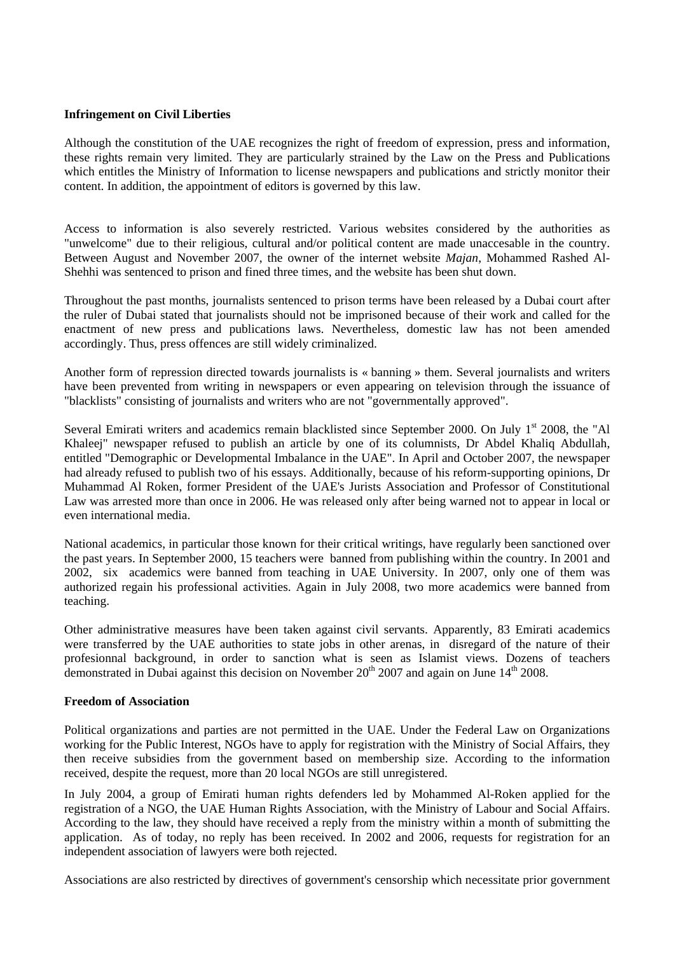### **Infringement on Civil Liberties**

Although the constitution of the UAE recognizes the right of freedom of expression, press and information, these rights remain very limited. They are particularly strained by the Law on the Press and Publications which entitles the Ministry of Information to license newspapers and publications and strictly monitor their content. In addition, the appointment of editors is governed by this law.

Access to information is also severely restricted. Various websites considered by the authorities as "unwelcome" due to their religious, cultural and/or political content are made unaccesable in the country. Between August and November 2007, the owner of the internet website *Majan*, Mohammed Rashed Al-Shehhi was sentenced to prison and fined three times, and the website has been shut down.

Throughout the past months, journalists sentenced to prison terms have been released by a Dubai court after the ruler of Dubai stated that journalists should not be imprisoned because of their work and called for the enactment of new press and publications laws. Nevertheless, domestic law has not been amended accordingly. Thus, press offences are still widely criminalized.

Another form of repression directed towards journalists is « banning » them. Several journalists and writers have been prevented from writing in newspapers or even appearing on television through the issuance of "blacklists" consisting of journalists and writers who are not "governmentally approved".

Several Emirati writers and academics remain blacklisted since September 2000. On July 1<sup>st</sup> 2008, the "Al Khaleej" newspaper refused to publish an article by one of its columnists, Dr Abdel Khaliq Abdullah, entitled "Demographic or Developmental Imbalance in the UAE". In April and October 2007, the newspaper had already refused to publish two of his essays. Additionally, because of his reform-supporting opinions, Dr Muhammad Al Roken, former President of the UAE's Jurists Association and Professor of Constitutional Law was arrested more than once in 2006. He was released only after being warned not to appear in local or even international media.

National academics, in particular those known for their critical writings, have regularly been sanctioned over the past years. In September 2000, 15 teachers were banned from publishing within the country. In 2001 and 2002, six academics were banned from teaching in UAE University. In 2007, only one of them was authorized regain his professional activities. Again in July 2008, two more academics were banned from teaching.

Other administrative measures have been taken against civil servants. Apparently, 83 Emirati academics were transferred by the UAE authorities to state jobs in other arenas, in disregard of the nature of their profesionnal background, in order to sanction what is seen as Islamist views. Dozens of teachers demonstrated in Dubai against this decision on November  $20<sup>th</sup> 2007$  and again on June  $14<sup>th</sup> 2008$ .

#### **Freedom of Association**

Political organizations and parties are not permitted in the UAE. Under the Federal Law on Organizations working for the Public Interest, NGOs have to apply for registration with the Ministry of Social Affairs, they then receive subsidies from the government based on membership size. According to the information received, despite the request, more than 20 local NGOs are still unregistered.

In July 2004, a group of Emirati human rights defenders led by Mohammed Al-Roken applied for the registration of a NGO, the UAE Human Rights Association, with the Ministry of Labour and Social Affairs. According to the law, they should have received a reply from the ministry within a month of submitting the application. As of today, no reply has been received. In 2002 and 2006, requests for registration for an independent association of lawyers were both rejected.

Associations are also restricted by directives of government's censorship which necessitate prior government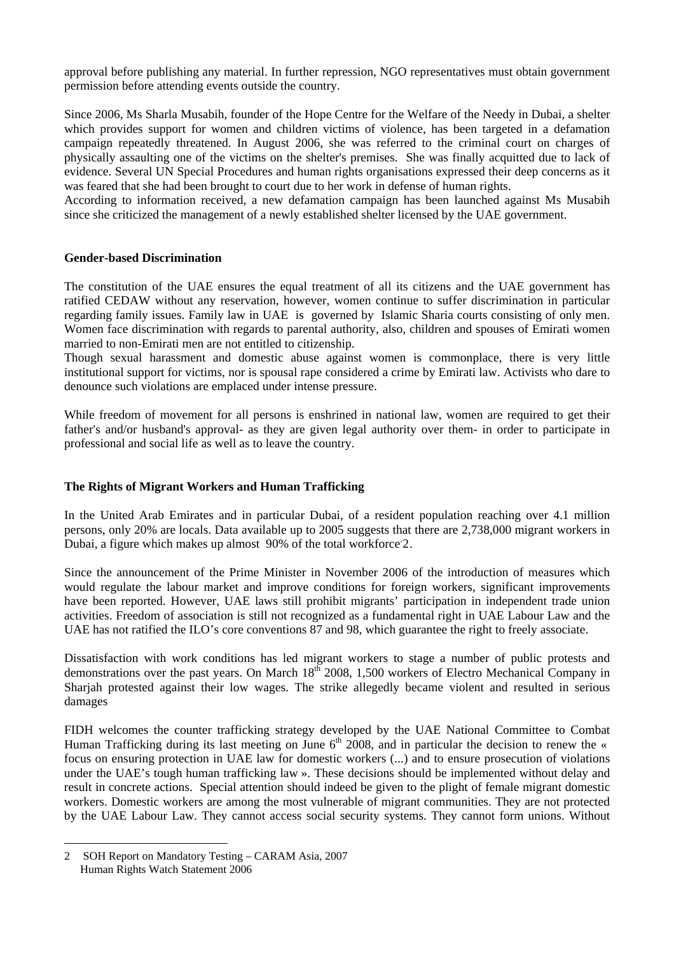approval before publishing any material. In further repression, NGO representatives must obtain government permission before attending events outside the country.

Since 2006, Ms Sharla Musabih, founder of the Hope Centre for the Welfare of the Needy in Dubai, a shelter which provides support for women and children victims of violence, has been targeted in a defamation campaign repeatedly threatened. In August 2006, she was referred to the criminal court on charges of physically assaulting one of the victims on the shelter's premises. She was finally acquitted due to lack of evidence. Several UN Special Procedures and human rights organisations expressed their deep concerns as it was feared that she had been brought to court due to her work in defense of human rights.

According to information received, a new defamation campaign has been launched against Ms Musabih since she criticized the management of a newly established shelter licensed by the UAE government.

# **Gender-based Discrimination**

The constitution of the UAE ensures the equal treatment of all its citizens and the UAE government has ratified CEDAW without any reservation, however, women continue to suffer discrimination in particular regarding family issues. Family law in UAE is governed by Islamic Sharia courts consisting of only men. Women face discrimination with regards to parental authority, also, children and spouses of Emirati women married to non-Emirati men are not entitled to citizenship.

Though sexual harassment and domestic abuse against women is commonplace, there is very little institutional support for victims, nor is spousal rape considered a crime by Emirati law. Activists who dare to denounce such violations are emplaced under intense pressure.

While freedom of movement for all persons is enshrined in national law, women are required to get their father's and/or husband's approval- as they are given legal authority over them- in order to participate in professional and social life as well as to leave the country.

# **The Rights of Migrant Workers and Human Trafficking**

In the United Arab Emirates and in particular Dubai, of a resident population reaching over 4.1 million persons, only 20% are locals. Data available up to 2005 suggests that there are 2,738,000 migrant workers in Dubai, a figure which makes up almost 90% of the total workforce [2](#page-2-0).

Since the announcement of the Prime Minister in November 2006 of the introduction of measures which would regulate the labour market and improve conditions for foreign workers, significant improvements have been reported. However, UAE laws still prohibit migrants' participation in independent trade union activities. Freedom of association is still not recognized as a fundamental right in UAE Labour Law and the UAE has not ratified the ILO's core conventions 87 and 98, which guarantee the right to freely associate.

Dissatisfaction with work conditions has led migrant workers to stage a number of public protests and demonstrations over the past years. On March 18<sup>th</sup> 2008, 1,500 workers of Electro Mechanical Company in Sharjah protested against their low wages. The strike allegedly became violent and resulted in serious damages

FIDH welcomes the counter trafficking strategy developed by the UAE National Committee to Combat Human Trafficking during its last meeting on June 6<sup>th</sup> 2008, and in particular the decision to renew the « focus on ensuring protection in UAE law for domestic workers (...) and to ensure prosecution of violations under the UAE's tough human trafficking law ». These decisions should be implemented without delay and result in concrete actions. Special attention should indeed be given to the plight of female migrant domestic workers. Domestic workers are among the most vulnerable of migrant communities. They are not protected by the UAE Labour Law. They cannot access social security systems. They cannot form unions. Without

 $\overline{a}$ 

<span id="page-2-0"></span><sup>2</sup> SOH Report on Mandatory Testing – CARAM Asia, 2007 Human Rights Watch Statement 2006